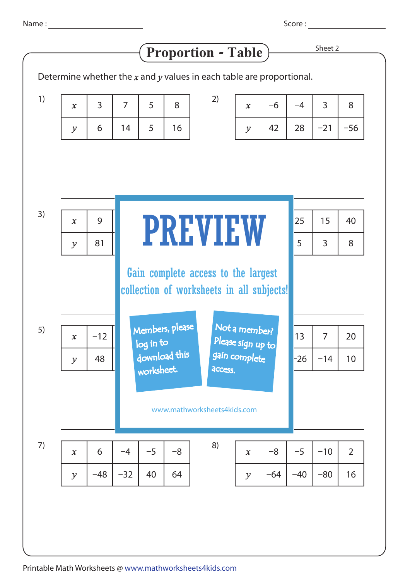